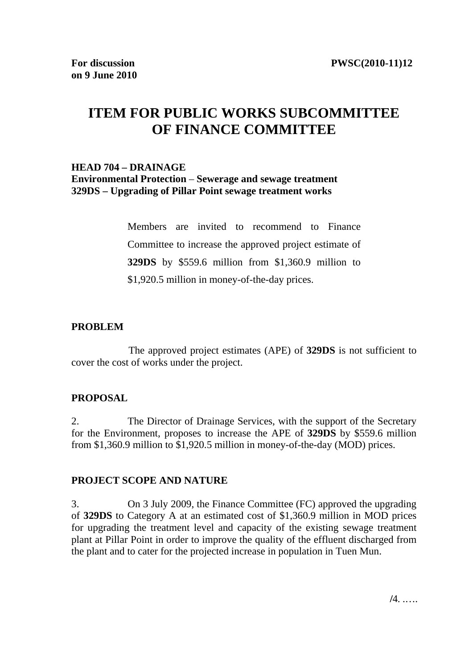# **ITEM FOR PUBLIC WORKS SUBCOMMITTEE OF FINANCE COMMITTEE**

#### **HEAD 704 – DRAINAGE Environmental Protection** – **Sewerage and sewage treatment**

**329DS – Upgrading of Pillar Point sewage treatment works**

Members are invited to recommend to Finance Committee to increase the approved project estimate of **329DS** by \$559.6 million from \$1,360.9 million to \$1,920.5 million in money-of-the-day prices.

#### **PROBLEM**

The approved project estimates (APE) of **329DS** is not sufficient to cover the cost of works under the project.

# **PROPOSAL**

2. The Director of Drainage Services, with the support of the Secretary for the Environment, proposes to increase the APE of **329DS** by \$559.6 million from \$1,360.9 million to \$1,920.5 million in money-of-the-day (MOD) prices.

# **PROJECT SCOPE AND NATURE**

3. On 3 July 2009, the Finance Committee (FC) approved the upgrading of **329DS** to Category A at an estimated cost of \$1,360.9 million in MOD prices for upgrading the treatment level and capacity of the existing sewage treatment plant at Pillar Point in order to improve the quality of the effluent discharged from the plant and to cater for the projected increase in population in Tuen Mun.

**/**4. .….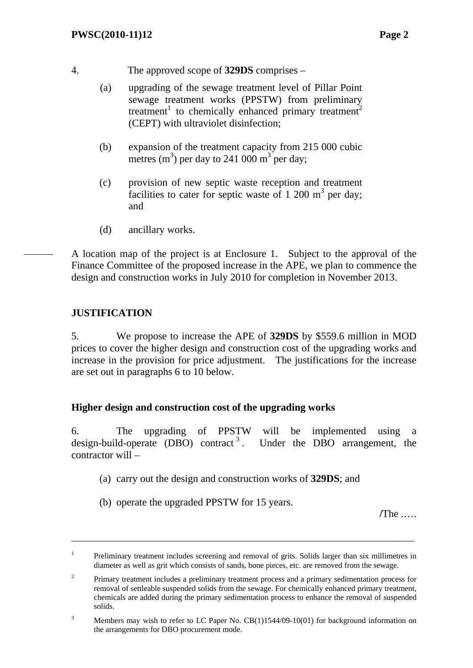4. The approved scope of **329DS** comprises –

- (a) upgrading of the sewage treatment level of Pillar Point sewage treatment works (PPSTW) from preliminary treatment<sup>1</sup> to chemically enhanced primary treatment<sup>2</sup> (CEPT) with ultraviolet disinfection;
- (b) expansion of the treatment capacity from 215 000 cubic metres  $(m^3)$  per day to 241 000  $m^3$  per day;
- (c) provision of new septic waste reception and treatment facilities to cater for septic waste of 1 200  $m<sup>3</sup>$  per day; and
- (d) ancillary works.

A location map of the project is at Enclosure 1. Subject to the approval of the Finance Committee of the proposed increase in the APE, we plan to commence the design and construction works in July 2010 for completion in November 2013.

#### **JUSTIFICATION**

5. We propose to increase the APE of **329DS** by \$559.6 million in MOD prices to cover the higher design and construction cost of the upgrading works and increase in the provision for price adjustment. The justifications for the increase are set out in paragraphs 6 to 10 below.

#### **Higher design and construction cost of the upgrading works**

6. The upgrading of PPSTW will be implemented using design-build-operate (DBO) contract<sup>3</sup>. Under the DBO arrangement, the contractor will –

- (a) carry out the design and construction works of **329DS**; and
- (b) operate the upgraded PPSTW for 15 years.

**/**The .….

\_\_\_\_\_\_\_\_\_\_\_\_\_\_\_\_\_\_\_\_\_\_\_\_\_\_\_\_\_\_\_\_\_\_\_\_\_\_\_\_\_\_\_\_\_\_\_\_\_\_\_\_\_\_\_\_\_\_\_\_\_\_\_\_\_\_\_\_\_\_\_\_

<sup>1</sup> Preliminary treatment includes screening and removal of grits. Solids larger than six millimetres in diameter as well as grit which consists of sands, bone pieces, etc. are removed from the sewage.

<sup>2</sup> Primary treatment includes a preliminary treatment process and a primary sedimentation process for removal of settleable suspended solids from the sewage. For chemically enhanced primary treatment, chemicals are added during the primary sedimentation process to enhance the removal of suspended solids.

<sup>3</sup> Members may wish to refer to LC Paper No. CB(1)1544/09-10(01) for background information on the arrangements for DBO procurement mode.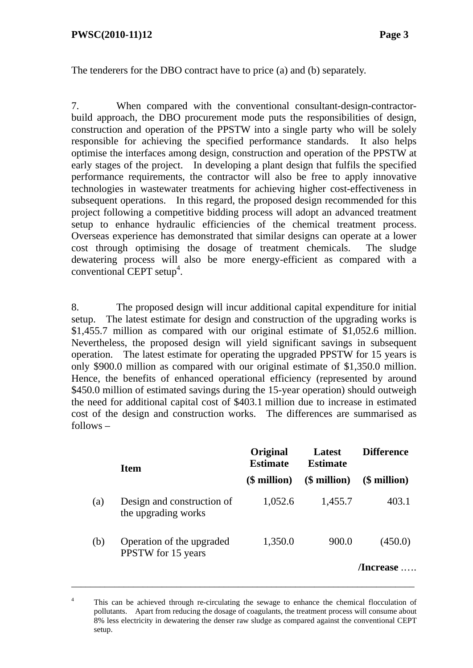#### **PWSC(2010-11)12** Page 3

The tenderers for the DBO contract have to price (a) and (b) separately.

7. When compared with the conventional consultant-design-contractorbuild approach, the DBO procurement mode puts the responsibilities of design, construction and operation of the PPSTW into a single party who will be solely responsible for achieving the specified performance standards. It also helps optimise the interfaces among design, construction and operation of the PPSTW at early stages of the project. In developing a plant design that fulfils the specified performance requirements, the contractor will also be free to apply innovative technologies in wastewater treatments for achieving higher cost-effectiveness in subsequent operations. In this regard, the proposed design recommended for this project following a competitive bidding process will adopt an advanced treatment setup to enhance hydraulic efficiencies of the chemical treatment process. Overseas experience has demonstrated that similar designs can operate at a lower cost through optimising the dosage of treatment chemicals. The sludge dewatering process will also be more energy-efficient as compared with a  $conventional CEPT setup<sup>4</sup>.$ 

8. The proposed design will incur additional capital expenditure for initial setup. The latest estimate for design and construction of the upgrading works is \$1,455.7 million as compared with our original estimate of \$1,052.6 million. Nevertheless, the proposed design will yield significant savings in subsequent operation. The latest estimate for operating the upgraded PPSTW for 15 years is only \$900.0 million as compared with our original estimate of \$1,350.0 million. Hence, the benefits of enhanced operational efficiency (represented by around \$450.0 million of estimated savings during the 15-year operation) should outweigh the need for additional capital cost of \$403.1 million due to increase in estimated cost of the design and construction works. The differences are summarised as follows –

|     | <b>Item</b>                                       | Original<br><b>Estimate</b> | Latest<br><b>Estimate</b> | <b>Difference</b> |  |
|-----|---------------------------------------------------|-----------------------------|---------------------------|-------------------|--|
|     |                                                   | (\$ million)                | $$$ million)              | (\$ million)      |  |
| (a) | Design and construction of<br>the upgrading works | 1,052.6                     | 1,455.7                   | 403.1             |  |
| (b) | Operation of the upgraded<br>PPSTW for 15 years   | 1,350.0                     | 900.0                     | (450.0)           |  |
|     |                                                   |                             |                           | /Increase         |  |

<sup>4</sup> This can be achieved through re-circulating the sewage to enhance the chemical flocculation of pollutants. Apart from reducing the dosage of coagulants, the treatment process will consume about 8% less electricity in dewatering the denser raw sludge as compared against the conventional CEPT setup.

\_\_\_\_\_\_\_\_\_\_\_\_\_\_\_\_\_\_\_\_\_\_\_\_\_\_\_\_\_\_\_\_\_\_\_\_\_\_\_\_\_\_\_\_\_\_\_\_\_\_\_\_\_\_\_\_\_\_\_\_\_\_\_\_\_\_\_\_\_\_\_\_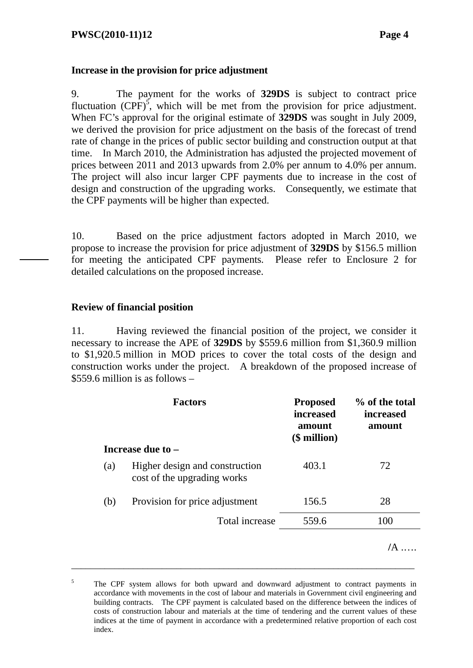#### **Increase in the provision for price adjustment**

9. The payment for the works of **329DS** is subject to contract price fluctuation  $(CPF)^5$ , which will be met from the provision for price adjustment. When FC's approval for the original estimate of **329DS** was sought in July 2009, we derived the provision for price adjustment on the basis of the forecast of trend rate of change in the prices of public sector building and construction output at that time. In March 2010, the Administration has adjusted the projected movement of prices between 2011 and 2013 upwards from 2.0% per annum to 4.0% per annum. The project will also incur larger CPF payments due to increase in the cost of design and construction of the upgrading works. Consequently, we estimate that the CPF payments will be higher than expected.

10. Based on the price adjustment factors adopted in March 2010, we propose to increase the provision for price adjustment of **329DS** by \$156.5 million for meeting the anticipated CPF payments. Please refer to Enclosure 2 for detailed calculations on the proposed increase.

#### **Review of financial position**

11. Having reviewed the financial position of the project, we consider it necessary to increase the APE of **329DS** by \$559.6 million from \$1,360.9 million to \$1,920.5 million in MOD prices to cover the total costs of the design and construction works under the project. A breakdown of the proposed increase of \$559.6 million is as follows –

|     | <b>Factors</b>                                                | <b>Proposed</b><br>increased<br>amount<br>$$$ million) | % of the total<br><i>increased</i><br>amount |
|-----|---------------------------------------------------------------|--------------------------------------------------------|----------------------------------------------|
|     | Increase due to -                                             |                                                        |                                              |
| (a) | Higher design and construction<br>cost of the upgrading works | 403.1                                                  | 72                                           |
| (b) | Provision for price adjustment                                | 156.5                                                  | 28                                           |
|     | Total increase                                                | 559.6                                                  | 100                                          |
|     |                                                               |                                                        |                                              |

<sup>5</sup> The CPF system allows for both upward and downward adjustment to contract payments in accordance with movements in the cost of labour and materials in Government civil engineering and building contracts. The CPF payment is calculated based on the difference between the indices of costs of construction labour and materials at the time of tendering and the current values of these indices at the time of payment in accordance with a predetermined relative proportion of each cost index.

\_\_\_\_\_\_\_\_\_\_\_\_\_\_\_\_\_\_\_\_\_\_\_\_\_\_\_\_\_\_\_\_\_\_\_\_\_\_\_\_\_\_\_\_\_\_\_\_\_\_\_\_\_\_\_\_\_\_\_\_\_\_\_\_\_\_\_\_\_\_\_\_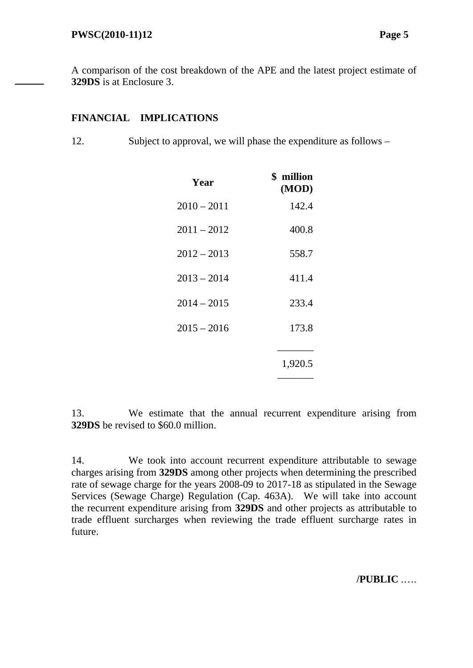A comparison of the cost breakdown of the APE and the latest project estimate of **329DS** is at Enclosure 3.

# **FINANCIAL IMPLICATIONS**

12. Subject to approval, we will phase the expenditure as follows –

| Year          | \$ million<br>(MOD) |
|---------------|---------------------|
| $2010 - 2011$ | 142.4               |
| $2011 - 2012$ | 400.8               |
| $2012 - 2013$ | 558.7               |
| $2013 - 2014$ | 411.4               |
| $2014 - 2015$ | 233.4               |
| $2015 - 2016$ | 173.8               |
|               | 1,920.5             |

13. We estimate that the annual recurrent expenditure arising from **329DS** be revised to \$60.0 million.

14. We took into account recurrent expenditure attributable to sewage charges arising from **329DS** among other projects when determining the prescribed rate of sewage charge for the years 2008-09 to 2017-18 as stipulated in the Sewage Services (Sewage Charge) Regulation (Cap. 463A). We will take into account the recurrent expenditure arising from **329DS** and other projects as attributable to trade effluent surcharges when reviewing the trade effluent surcharge rates in future.

**/PUBLIC** .….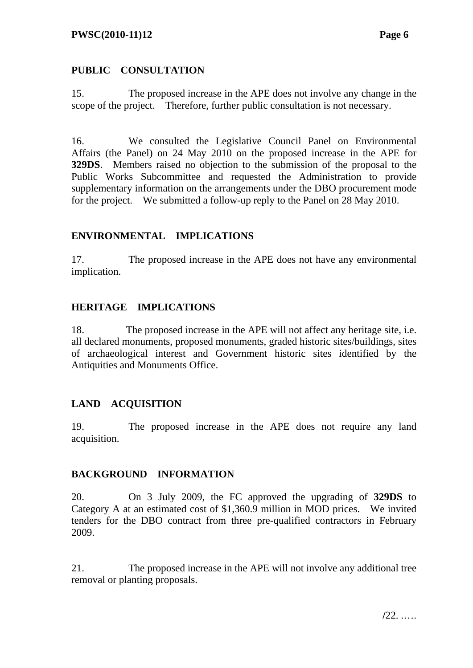# **PUBLIC CONSULTATION**

15. The proposed increase in the APE does not involve any change in the scope of the project. Therefore, further public consultation is not necessary.

16. We consulted the Legislative Council Panel on Environmental Affairs (the Panel) on 24 May 2010 on the proposed increase in the APE for **329DS**. Members raised no objection to the submission of the proposal to the Public Works Subcommittee and requested the Administration to provide supplementary information on the arrangements under the DBO procurement mode for the project. We submitted a follow-up reply to the Panel on 28 May 2010.

# **ENVIRONMENTAL IMPLICATIONS**

17. The proposed increase in the APE does not have any environmental implication.

# **HERITAGE IMPLICATIONS**

18. The proposed increase in the APE will not affect any heritage site, i.e. all declared monuments, proposed monuments, graded historic sites/buildings, sites of archaeological interest and Government historic sites identified by the Antiquities and Monuments Office.

# **LAND ACQUISITION**

19. The proposed increase in the APE does not require any land acquisition.

# **BACKGROUND INFORMATION**

20. On 3 July 2009, the FC approved the upgrading of **329DS** to Category A at an estimated cost of \$1,360.9 million in MOD prices. We invited tenders for the DBO contract from three pre-qualified contractors in February 2009.

21. The proposed increase in the APE will not involve any additional tree removal or planting proposals.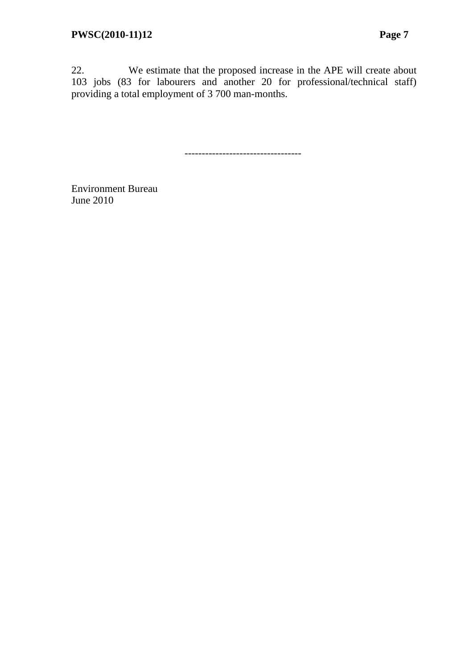22. We estimate that the proposed increase in the APE will create about 103 jobs (83 for labourers and another 20 for professional/technical staff) providing a total employment of 3 700 man-months.

----------------------------------

Environment Bureau June 2010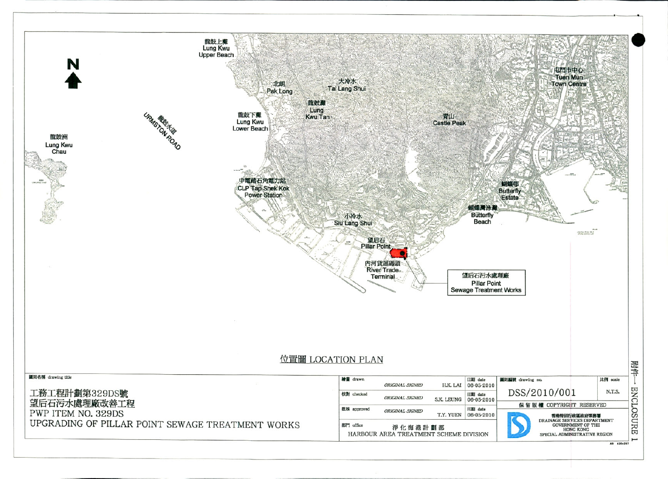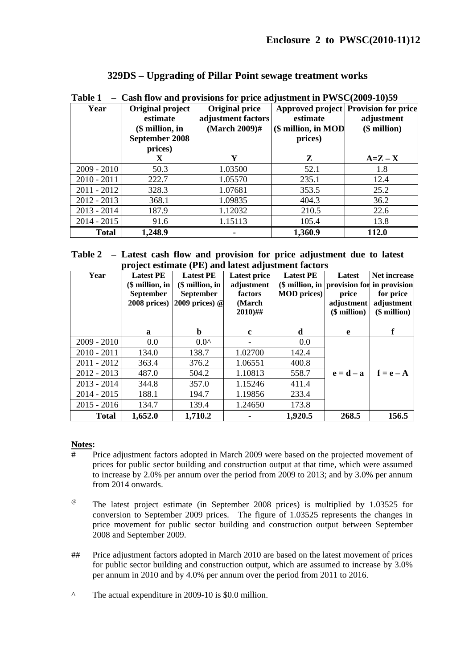#### **329DS – Upgrading of Pillar Point sewage treatment works**

| Year          | Original project<br>estimate<br>$$$ million, in<br>September 2008<br>prices) | <b>Original price</b><br>adjustment factors<br>$(March 2009)$ # | estimate<br>(\$ million, in MOD<br>prices) | Approved project Provision for price<br>adjustment<br>$$$ million) |
|---------------|------------------------------------------------------------------------------|-----------------------------------------------------------------|--------------------------------------------|--------------------------------------------------------------------|
|               | X                                                                            | Y                                                               | Z                                          | $A=Z-X$                                                            |
| $2009 - 2010$ | 50.3                                                                         | 1.03500                                                         | 52.1                                       | 1.8                                                                |
| $2010 - 2011$ | 222.7                                                                        | 1.05570                                                         | 235.1                                      | 12.4                                                               |
| $2011 - 2012$ | 328.3                                                                        | 1.07681                                                         | 353.5                                      | 25.2                                                               |
| $2012 - 2013$ | 368.1                                                                        | 1.09835                                                         | 404.3                                      | 36.2                                                               |
| $2013 - 2014$ | 187.9                                                                        | 1.12032                                                         | 210.5                                      | 22.6                                                               |
| $2014 - 2015$ | 91.6                                                                         | 1.15113                                                         | 105.4                                      | 13.8                                                               |
| <b>Total</b>  | 1,248.9                                                                      |                                                                 | 1,360.9                                    | 112.0                                                              |

**Table 1 – Cash flow and provisions for price adjustment in PWSC(2009-10)59** 

**Table 2 – Latest cash flow and provision for price adjustment due to latest project estimate (PE) and latest adjustment factors** 

| Year          | <b>Latest PE</b><br>(\$ million, in<br><b>September</b><br>2008 prices) | <b>Latest PE</b><br>$$$ million, in<br>September<br>2009 prices) $@$ | <b>Latest price</b><br>adjustment<br>factors<br>(March)<br>$2010$ )## | <b>Latest PE</b><br>(\$ million, in provision for in provision<br><b>MOD</b> prices) | Latest<br>price<br>adjustment<br>$$$ million) | <b>Net increase</b><br>for price<br>adjustment<br>$$$ million) |
|---------------|-------------------------------------------------------------------------|----------------------------------------------------------------------|-----------------------------------------------------------------------|--------------------------------------------------------------------------------------|-----------------------------------------------|----------------------------------------------------------------|
|               | a                                                                       | $\mathbf b$                                                          | c                                                                     | d                                                                                    | e                                             | f                                                              |
| $2009 - 2010$ | 0.0                                                                     | $0.0^{\prime}$                                                       |                                                                       | 0.0                                                                                  |                                               |                                                                |
| $2010 - 2011$ | 134.0                                                                   | 138.7                                                                | 1.02700                                                               | 142.4                                                                                |                                               |                                                                |
| $2011 - 2012$ | 363.4                                                                   | 376.2                                                                | 1.06551                                                               | 400.8                                                                                |                                               |                                                                |
| $2012 - 2013$ | 487.0                                                                   | 504.2                                                                | 1.10813                                                               | 558.7                                                                                | $\mathbf{e} = \mathbf{d} - \mathbf{a}$        | $f = e - A$                                                    |
| $2013 - 2014$ | 344.8                                                                   | 357.0                                                                | 1.15246                                                               | 411.4                                                                                |                                               |                                                                |
| $2014 - 2015$ | 188.1                                                                   | 194.7                                                                | 1.19856                                                               | 233.4                                                                                |                                               |                                                                |
| $2015 - 2016$ | 134.7                                                                   | 139.4                                                                | 1.24650                                                               | 173.8                                                                                |                                               |                                                                |
| <b>Total</b>  | 1,652.0                                                                 | 1,710.2                                                              |                                                                       | 1,920.5                                                                              | 268.5                                         | 156.5                                                          |

#### **Notes:**

- # Price adjustment factors adopted in March 2009 were based on the projected movement of prices for public sector building and construction output at that time, which were assumed to increase by 2.0% per annum over the period from 2009 to 2013; and by 3.0% per annum from 2014 onwards.
- $\omega$ The latest project estimate (in September 2008 prices) is multiplied by 1.03525 for conversion to September 2009 prices. The figure of 1.03525 represents the changes in price movement for public sector building and construction output between September 2008 and September 2009.
- ## Price adjustment factors adopted in March 2010 are based on the latest movement of prices for public sector building and construction output, which are assumed to increase by 3.0% per annum in 2010 and by 4.0% per annum over the period from 2011 to 2016.
- ^ The actual expenditure in 2009-10 is \$0.0 million.